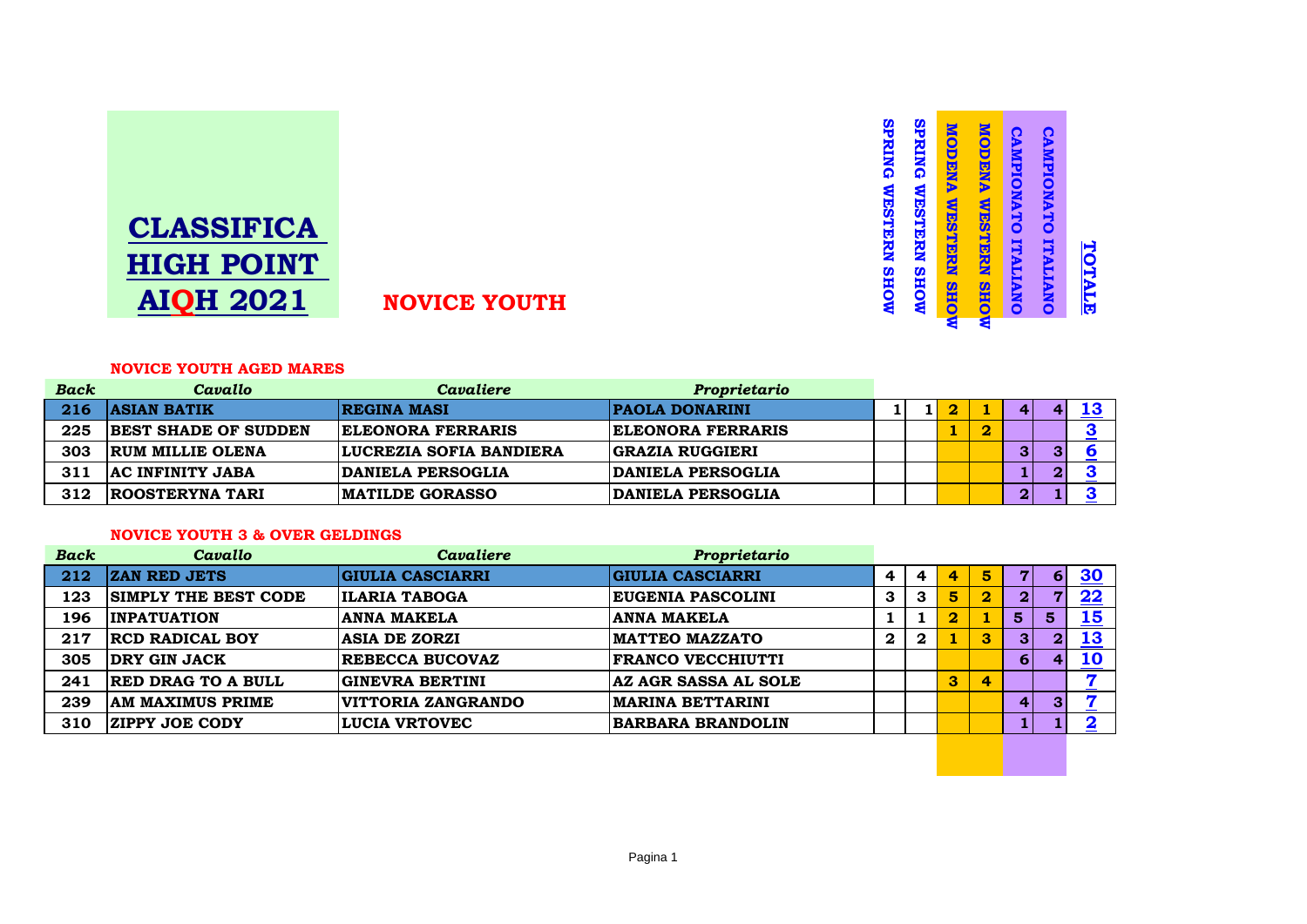

#### **SPRING WESTERN SHOW SPRING WESTERN SHOW SPRING WESTERN SHOW SPRING WESTERN SHOW MODENA WESTERN SHOW MODENA WESTERN SHOW MODENA WESTERN SHOW MODENA WESTERN SHOW** CAMPIONATO ITALIANO CAMPIONATO ITALIANO **CAMPIONATO ITALIANO CAMPIONATO ITALIANO** TOTALE

**TOTALE**

#### **NOVICE YOUTH AGED MARES**

| <b>Back</b> | Cavallo                     | Cavaliere                      | Proprietario             |  |  |                         |  |
|-------------|-----------------------------|--------------------------------|--------------------------|--|--|-------------------------|--|
| 216         | <b>ASIAN BATIK</b>          | <b>REGINA MASI</b>             | <b>PAOLA DONARINI</b>    |  |  | 4                       |  |
| 225         | <b>BEST SHADE OF SUDDEN</b> | <b>ELEONORA FERRARIS</b>       | <b>ELEONORA FERRARIS</b> |  |  |                         |  |
| 303         | <b>RUM MILLIE OLENA</b>     | <b>LUCREZIA SOFIA BANDIERA</b> | <b>GRAZIA RUGGIERI</b>   |  |  | 3                       |  |
| 311         | <b>AC INFINITY JABA</b>     | DANIELA PERSOGLIA              | <b>DANIELA PERSOGLIA</b> |  |  | 1                       |  |
| 312         | <b>ROOSTERYNA TARI</b>      | <b>MATILDE GORASSO</b>         | <b>DANIELA PERSOGLIA</b> |  |  | $\overline{\mathbf{2}}$ |  |

# **NOVICE YOUTH 3 & OVER GELDINGS**

| <b>Back</b> | Cavallo                     | Cavaliere               | Proprietario             |             |              |   |                         |                 |                |            |
|-------------|-----------------------------|-------------------------|--------------------------|-------------|--------------|---|-------------------------|-----------------|----------------|------------|
| 212         | <b>ZAN RED JETS</b>         | <b>GIULIA CASCIARRI</b> | <b>GIULIA CASCIARRI</b>  |             | 4            | 4 | 5                       | 7               | 6              | 30         |
| 123         | <b>SIMPLY THE BEST CODE</b> | <b>ILARIA TABOGA</b>    | <b>EUGENIA PASCOLINI</b> | 3           | 3            | 5 | $\overline{\mathbf{2}}$ | $\mathbf{2}$    | $\overline{7}$ | 22         |
| 196         | <b>INPATUATION</b>          | <b>ANNA MAKELA</b>      | <b>ANNA MAKELA</b>       |             |              |   |                         | $5\phantom{1}$  | 5 <sub>5</sub> | <u> 15</u> |
| 217         | <b>RCD RADICAL BOY</b>      | <b>ASIA DE ZORZI</b>    | <b>IMATTEO MAZZATO</b>   | $\mathbf 2$ | $\mathbf{2}$ |   | 3                       | 3 <sup>1</sup>  | $\mathbf{2}$   | <u> 13</u> |
| 305         | <b>DRY GIN JACK</b>         | <b>REBECCA BUCOVAZ</b>  | <b>FRANCO VECCHIUTTI</b> |             |              |   |                         | $6 \mid$        | 4              | <u>10</u>  |
| 241         | <b>RED DRAG TO A BULL</b>   | GINEVRA BERTINI         | AZ AGR SASSA AL SOLE     |             |              | 3 | 4                       |                 |                |            |
| 239         | <b>AM MAXIMUS PRIME</b>     | VITTORIA ZANGRANDO      | <b>MARINA BETTARINI</b>  |             |              |   |                         | $\vert 4 \vert$ | 3              | 57         |
| 310         | <b>ZIPPY JOE CODY</b>       | <b>LUCIA VRTOVEC</b>    | <b>BARBARA BRANDOLIN</b> |             |              |   |                         |                 |                |            |
|             |                             |                         |                          |             |              |   |                         |                 |                |            |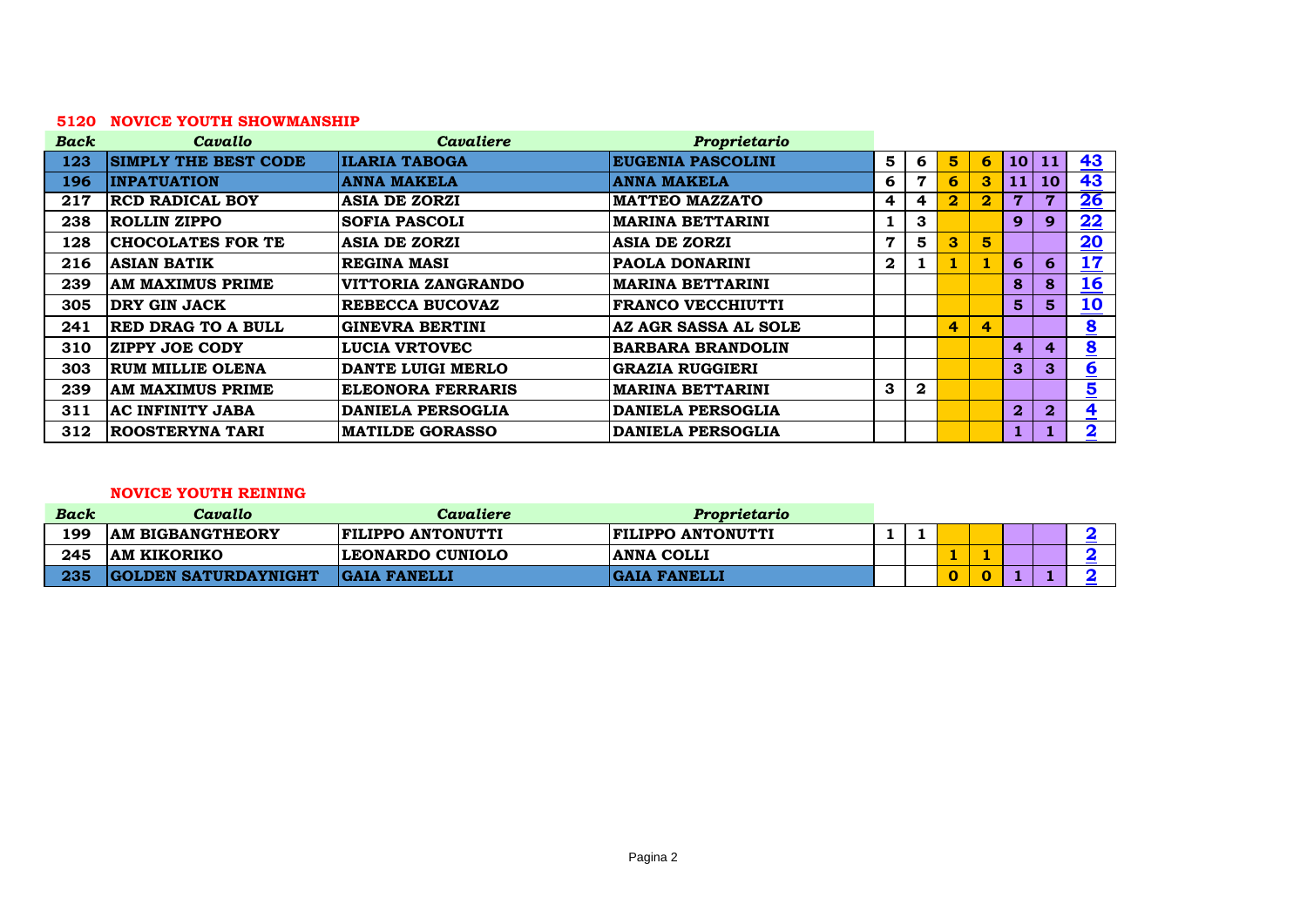# **NOVICE YOUTH SHOWMANSHIP**

| <b>Back</b> | Cavallo                     | Cavaliere                | Proprietario             |              |                |                         |                |                 |                         |                             |
|-------------|-----------------------------|--------------------------|--------------------------|--------------|----------------|-------------------------|----------------|-----------------|-------------------------|-----------------------------|
| 123         | <b>SIMPLY THE BEST CODE</b> | <b>ILARIA TABOGA</b>     | <b>EUGENIA PASCOLINI</b> | 5            | 6              | $5\phantom{1}$          | 6              | 10 <sup>1</sup> | <b>11</b>               | <u>43</u>                   |
| 196         | <b>INPATUATION</b>          | <b>ANNA MAKELA</b>       | <b>ANNA MAKELA</b>       | 6            | 7              | 6                       | 3              | 11              | <b>10</b>               | 43                          |
| 217         | <b>RCD RADICAL BOY</b>      | <b>ASIA DE ZORZI</b>     | <b>MATTEO MAZZATO</b>    | 4            | $\overline{4}$ | $\overline{\mathbf{2}}$ | $\bf{2}$       | 7               | $\overline{7}$          | <u>26</u>                   |
| 238         | ROLLIN ZIPPO                | <b>SOFIA PASCOLI</b>     | <b>MARINA BETTARINI</b>  | 1            | 3              |                         |                | 9               | 9                       | 22                          |
| 128         | <b>CHOCOLATES FOR TE</b>    | <b>ASIA DE ZORZI</b>     | <b>ASIA DE ZORZI</b>     | 7            | 5              | 3                       | 5 <sup>5</sup> |                 |                         | $\overline{20}$             |
| 216         | <b>ASIAN BATIK</b>          | <b>REGINA MASI</b>       | <b>PAOLA DONARINI</b>    | $\mathbf{2}$ | 1              |                         |                | 6               | 6                       | <u> 17</u>                  |
| 239         | AM MAXIMUS PRIME            | VITTORIA ZANGRANDO       | <b>MARINA BETTARINI</b>  |              |                |                         |                | 8               | 8                       | <u> 16</u>                  |
| 305         | <b>DRY GIN JACK</b>         | <b>REBECCA BUCOVAZ</b>   | <b>FRANCO VECCHIUTTI</b> |              |                |                         |                | 5.              | $5^{\circ}$             | <u>10</u>                   |
| 241         | <b>RED DRAG TO A BULL</b>   | <b>GINEVRA BERTINI</b>   | AZ AGR SASSA AL SOLE     |              |                | 4                       | $\overline{4}$ |                 |                         | $\underline{\underline{8}}$ |
| 310         | <b>ZIPPY JOE CODY</b>       | <b>LUCIA VRTOVEC</b>     | <b>BARBARA BRANDOLIN</b> |              |                |                         |                | 4               | $\overline{\mathbf{4}}$ | $\underline{\underline{8}}$ |
| 303         | RUM MILLIE OLENA            | DANTE LUIGI MERLO        | <b>GRAZIA RUGGIERI</b>   |              |                |                         |                | 3               | 3                       | $6 \nightharpoonup$         |
| 239         | AM MAXIMUS PRIME            | <b>ELEONORA FERRARIS</b> | <b>MARINA BETTARINI</b>  | $\mathbf{3}$ | $\mathbf{2}$   |                         |                |                 |                         | $\overline{\mathbf{5}}$     |
| 311         | AC INFINITY JABA            | <b>DANIELA PERSOGLIA</b> | <b>DANIELA PERSOGLIA</b> |              |                |                         |                | $\bf{2}$        | $\mathbf{2}$            | $\overline{4}$              |
| 312         | <b>ROOSTERYNA TARI</b>      | <b>MATILDE GORASSO</b>   | <b>DANIELA PERSOGLIA</b> |              |                |                         |                |                 |                         | $\overline{\mathbf{2}}$     |

# **NOVICE YOUTH REINING**

| <b>Back</b> | Cavallo                     | Cavaliere                | Proprietario             |  |  |  |  |
|-------------|-----------------------------|--------------------------|--------------------------|--|--|--|--|
| 199         | <b>AM BIGBANGTHEORY</b>     | <b>FILIPPO ANTONUTTI</b> | <b>FILIPPO ANTONUTTI</b> |  |  |  |  |
| 245         | <b>JAM KIKORIKO</b>         | LEONARDO CUNIOLO         | <b>ANNA COLLI</b>        |  |  |  |  |
| 235         | <b>GOLDEN SATURDAYNIGHT</b> | <b>GAIA FANELLI</b>      | <b>GAIA FANELLI</b>      |  |  |  |  |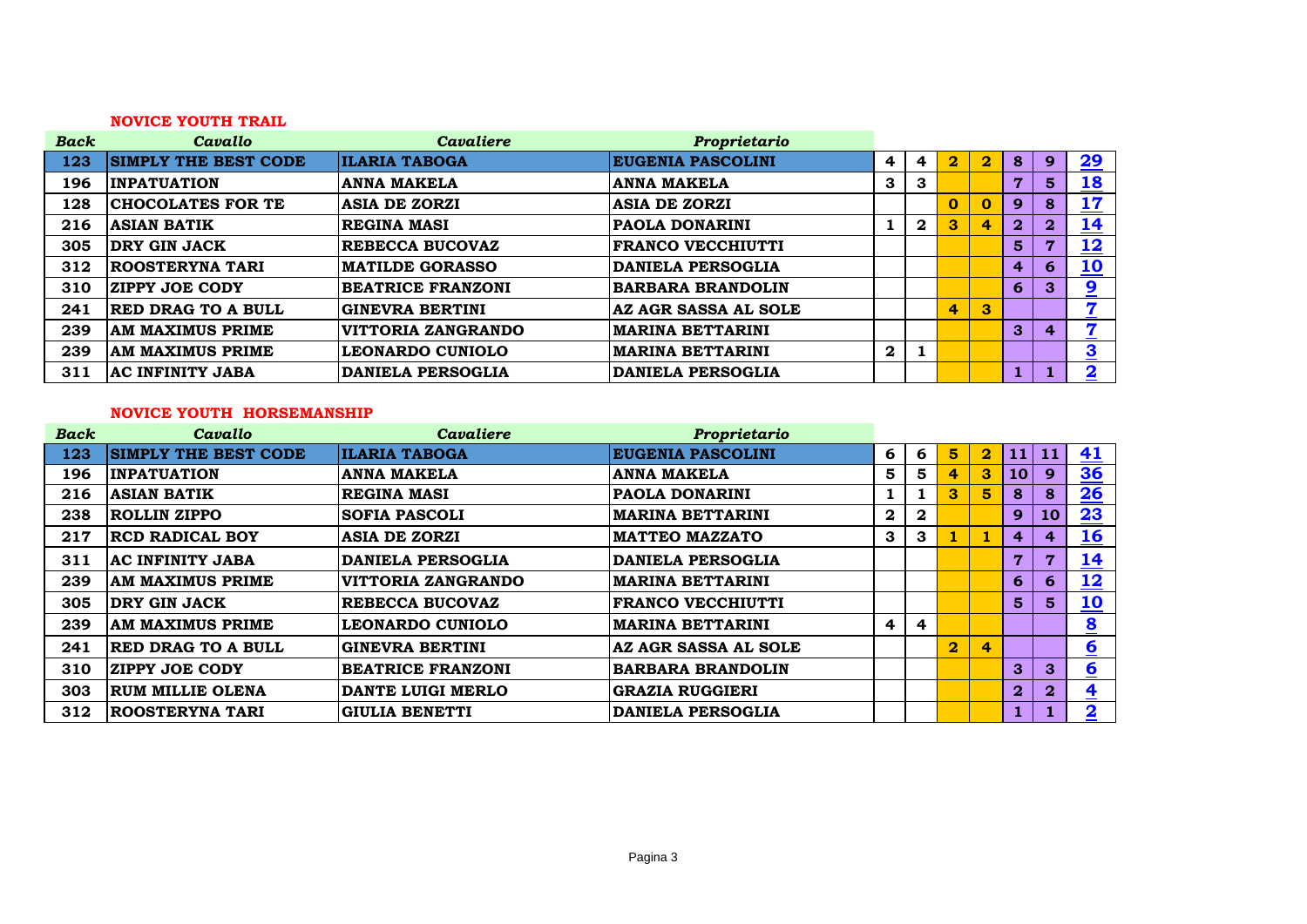# **NOVICE YOUTH TRAIL**

| <b>Back</b> | Cavallo                     | <b>Cavaliere</b>         | Proprietario             |                  |              |                |                         |                  |              |                                |
|-------------|-----------------------------|--------------------------|--------------------------|------------------|--------------|----------------|-------------------------|------------------|--------------|--------------------------------|
| 123         | <b>SIMPLY THE BEST CODE</b> | <b>ILARIA TABOGA</b>     | <b>EUGENIA PASCOLINI</b> | 4                | 4            | $\bf{2}$       | $\overline{\mathbf{2}}$ | 8                | 9            | 29                             |
| 196         | <b>INPATUATION</b>          | <b>ANNA MAKELA</b>       | <b>ANNA MAKELA</b>       | 3                | 3            |                |                         | 7                | 5            | <u>18</u>                      |
| 128         | <b>CHOCOLATES FOR TE</b>    | <b>ASIA DE ZORZI</b>     | <b>ASIA DE ZORZI</b>     |                  |              | 0              | $\mathbf{0}$            | 9                | 8            | 17                             |
| 216         | <b>ASIAN BATIK</b>          | <b>REGINA MASI</b>       | <b>PAOLA DONARINI</b>    |                  | $\mathbf{2}$ | 3 <sup>°</sup> | 4                       | $\boldsymbol{2}$ | $\mathbf{2}$ | <u>14</u>                      |
| 305         | <b>DRY GIN JACK</b>         | <b>REBECCA BUCOVAZ</b>   | <b>FRANCO VECCHIUTTI</b> |                  |              |                |                         | 5                | 7            | <u>12</u>                      |
| 312         | <b>ROOSTERYNA TARI</b>      | <b>MATILDE GORASSO</b>   | <b>DANIELA PERSOGLIA</b> |                  |              |                |                         | 4                | 6            | <u>10</u>                      |
| 310         | <b>ZIPPY JOE CODY</b>       | <b>BEATRICE FRANZONI</b> | <b>BARBARA BRANDOLIN</b> |                  |              |                |                         | 6                | 3            | 9                              |
| 241         | <b>RED DRAG TO A BULL</b>   | <b>GINEVRA BERTINI</b>   | AZ AGR SASSA AL SOLE     |                  |              | 4              | $\mathbf{3}$            |                  |              | 57<br>$\overline{\phantom{a}}$ |
| 239         | <b>AM MAXIMUS PRIME</b>     | VITTORIA ZANGRANDO       | <b>MARINA BETTARINI</b>  |                  |              |                |                         | 3                |              | 7                              |
| 239         | <b>AM MAXIMUS PRIME</b>     | <b>LEONARDO CUNIOLO</b>  | <b>MARINA BETTARINI</b>  | $\boldsymbol{2}$ |              |                |                         |                  |              | $\overline{\mathbf{3}}$        |
| 311         | <b>AC INFINITY JABA</b>     | <b>DANIELA PERSOGLIA</b> | <b>DANIELA PERSOGLIA</b> |                  |              |                |                         |                  |              | $\overline{\mathbf{2}}$        |

# **NOVICE YOUTH HORSEMANSHIP**

| <b>Back</b> | Cavallo                     | <b>Cavaliere</b>         | Proprietario             |                         |                         |                         |                         |                 |                |                         |
|-------------|-----------------------------|--------------------------|--------------------------|-------------------------|-------------------------|-------------------------|-------------------------|-----------------|----------------|-------------------------|
| 123         | <b>SIMPLY THE BEST CODE</b> | <b>ILARIA TABOGA</b>     | <b>EUGENIA PASCOLINI</b> | 6                       | 6                       | 5                       | $\mathbf{2}^-$          |                 | 11 11          | <u>41</u>               |
| 196         | <b>INPATUATION</b>          | <b>ANNA MAKELA</b>       | <b>ANNA MAKELA</b>       | 5                       | 5                       | 4                       | 3 <sup>°</sup>          | 10 <sup>1</sup> | $\mathbf{9}$   | $\frac{36}{5}$          |
| 216         | <b>ASIAN BATIK</b>          | <b>REGINA MASI</b>       | <b>PAOLA DONARINI</b>    |                         |                         | 3                       | 5.                      | 8               | $\bf{8}$       | 26                      |
| 238         | <b>ROLLIN ZIPPO</b>         | <b>SOFIA PASCOLI</b>     | <b>MARINA BETTARINI</b>  | $\mathbf 2$             | $\boldsymbol{2}$        |                         |                         | 9               | 10             | 23                      |
| 217         | <b>RCD RADICAL BOY</b>      | <b>ASIA DE ZORZI</b>     | <b>MATTEO MAZZATO</b>    | 3                       | 3                       |                         |                         | 4               | $\overline{4}$ | <u>16</u>               |
| 311         | AC INFINITY JABA            | <b>DANIELA PERSOGLIA</b> | <b>DANIELA PERSOGLIA</b> |                         |                         |                         |                         | 7               | 7              | <u> 14</u>              |
| 239         | AM MAXIMUS PRIME            | VITTORIA ZANGRANDO       | <b>MARINA BETTARINI</b>  |                         |                         |                         |                         | 6               | 6              | <u> 12</u>              |
| 305         | <b>DRY GIN JACK</b>         | <b>REBECCA BUCOVAZ</b>   | <b>FRANCO VECCHIUTTI</b> |                         |                         |                         |                         | 5               | 5 <sup>1</sup> | <u> 10</u>              |
| 239         | AM MAXIMUS PRIME            | <b>LEONARDO CUNIOLO</b>  | <b>MARINA BETTARINI</b>  | $\overline{\mathbf{r}}$ | $\overline{\mathbf{r}}$ |                         |                         |                 |                | $\overline{\mathbf{8}}$ |
| 241         | <b>RED DRAG TO A BULL</b>   | <b>GINEVRA BERTINI</b>   | AZ AGR SASSA AL SOLE     |                         |                         | $\overline{\mathbf{2}}$ | $\overline{\mathbf{r}}$ |                 |                | $\underline{6}$         |
| 310         | <b>ZIPPY JOE CODY</b>       | <b>BEATRICE FRANZONI</b> | <b>BARBARA BRANDOLIN</b> |                         |                         |                         |                         | 3               | 3              | $6 \nightharpoonup$     |
| 303         | RUM MILLIE OLENA            | DANTE LUIGI MERLO        | <b>GRAZIA RUGGIERI</b>   |                         |                         |                         |                         | $\mathbf{2}$    | $\mathbf{2}$   | $\overline{\mathbf{4}}$ |
| 312         | <b>ROOSTERYNA TARI</b>      | <b>GIULIA BENETTI</b>    | <b>DANIELA PERSOGLIA</b> |                         |                         |                         |                         |                 |                | $\overline{\mathbf{2}}$ |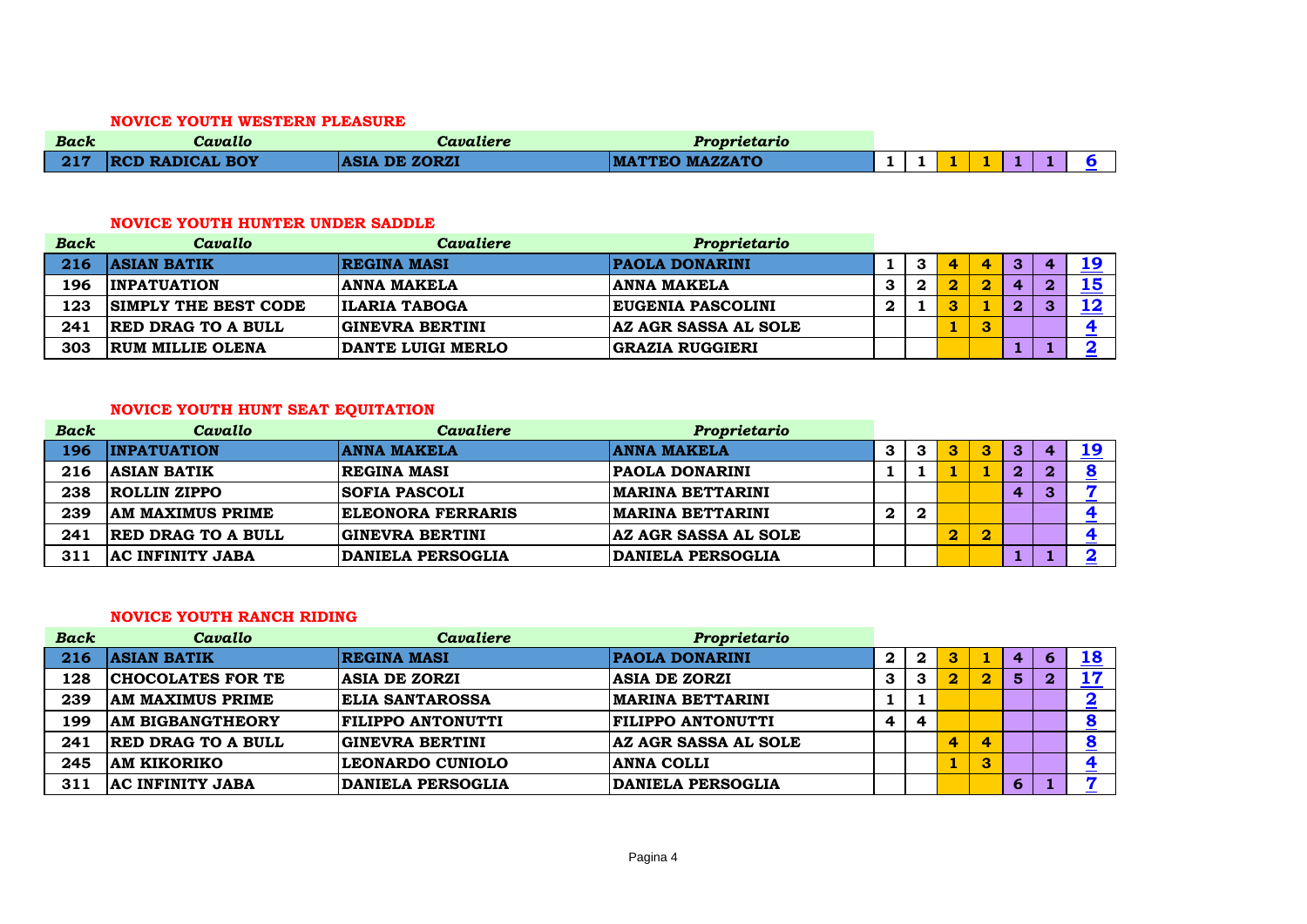#### **NOVICE YOUTH WESTERN PLEASURE**

| <b>Back</b> | Cavallo           | Cavaliere            | Proprietario          |  |  |  |  |
|-------------|-------------------|----------------------|-----------------------|--|--|--|--|
| 217         | / RCD RADICAL BOY | <b>ASIA DE ZORZI</b> | <b>MATTEO MAZZATO</b> |  |  |  |  |

#### **NOVICE YOUTH HUNTER UNDER SADDLE**

| <b>Back</b> | Cavallo                     | Cavaliere              | Proprietario                |   |   |   |   |                   |    |
|-------------|-----------------------------|------------------------|-----------------------------|---|---|---|---|-------------------|----|
| 216         | <b>ASIAN BATIK</b>          | <b>REGINA MASI</b>     | <b>PAOLA DONARINI</b>       |   | Д | 4 | ∽ |                   | 19 |
| 196         | <b>INPATUATION</b>          | ANNA MAKELA            | <b>ANNA MAKELA</b>          | З |   |   |   |                   | 15 |
| 123         | <b>SIMPLY THE BEST CODE</b> | <b>ILARIA TABOGA</b>   | <b>EUGENIA PASCOLINI</b>    | 2 |   |   | ∩ | $\mathbf{\Omega}$ | 12 |
| 241         | <b>RED DRAG TO A BULL</b>   | <b>GINEVRA BERTINI</b> | <b>AZ AGR SASSA AL SOLE</b> |   |   |   |   |                   |    |
| 303         | <b>RUM MILLIE OLENA</b>     | DANTE LUIGI MERLO      | <b>GRAZIA RUGGIERI</b>      |   |   |   |   |                   |    |

# **NOVICE YOUTH HUNT SEAT EQUITATION**

| <b>Back</b> | Cavallo                   | Cavaliere                | Proprietario                |          |                  |                         |              |          |  |
|-------------|---------------------------|--------------------------|-----------------------------|----------|------------------|-------------------------|--------------|----------|--|
| 196         | <b>INPATUATION</b>        | <b>ANNA MAKELA</b>       | <b>ANNA MAKELA</b>          | 3        | 3                |                         | 3            |          |  |
| 216         | <b>ASIAN BATIK</b>        | <b>REGINA MASI</b>       | <b>PAOLA DONARINI</b>       |          |                  |                         | $\mathbf{2}$ | $\bf{2}$ |  |
| 238         | ROLLIN ZIPPO              | <b>SOFIA PASCOLI</b>     | <b>MARINA BETTARINI</b>     |          |                  |                         | 4            | З        |  |
| 239         | <b>AM MAXIMUS PRIME</b>   | <b>ELEONORA FERRARIS</b> | <b>MARINA BETTARINI</b>     | $\bf{2}$ | $\boldsymbol{2}$ |                         |              |          |  |
| 241         | <b>RED DRAG TO A BULL</b> | GINEVRA BERTINI          | <b>AZ AGR SASSA AL SOLE</b> |          |                  | $\overline{\mathbf{2}}$ |              |          |  |
| 311         | <b>AC INFINITY JABA</b>   | <b>DANIELA PERSOGLIA</b> | <b>DANIELA PERSOGLIA</b>    |          |                  |                         |              |          |  |

# **NOVICE YOUTH RANCH RIDING**

| <b>Back</b> | Cavallo                   | <b>Cavaliere</b>         | Proprietario                |             |   |   |          |   |           |
|-------------|---------------------------|--------------------------|-----------------------------|-------------|---|---|----------|---|-----------|
| 216         | <b>ASIAN BATIK</b>        | <b>REGINA MASI</b>       | <b>PAOLA DONARINI</b>       | $\mathbf 2$ |   | 3 |          | 4 | <b>18</b> |
| 128         | <b>CHOCOLATES FOR TE</b>  | <b>ASIA DE ZORZI</b>     | <b>ASIA DE ZORZI</b>        | 3           | З | 2 | $\bf{2}$ | 5 |           |
| 239         | <b>AM MAXIMUS PRIME</b>   | <b>ELIA SANTAROSSA</b>   | <b>MARINA BETTARINI</b>     |             |   |   |          |   |           |
| 199         | <b>AM BIGBANGTHEORY</b>   | <b>FILIPPO ANTONUTTI</b> | <b>FILIPPO ANTONUTTI</b>    | 4           |   |   |          |   |           |
| 241         | <b>RED DRAG TO A BULL</b> | <b>GINEVRA BERTINI</b>   | <b>AZ AGR SASSA AL SOLE</b> |             |   |   | 4        |   |           |
| 245         | <b>AM KIKORIKO</b>        | LEONARDO CUNIOLO         | <b>ANNA COLLI</b>           |             |   |   | 3        |   |           |
| 311         | AC INFINITY JABA          | <b>DANIELA PERSOGLIA</b> | <b>DANIELA PERSOGLIA</b>    |             |   |   |          | 6 |           |